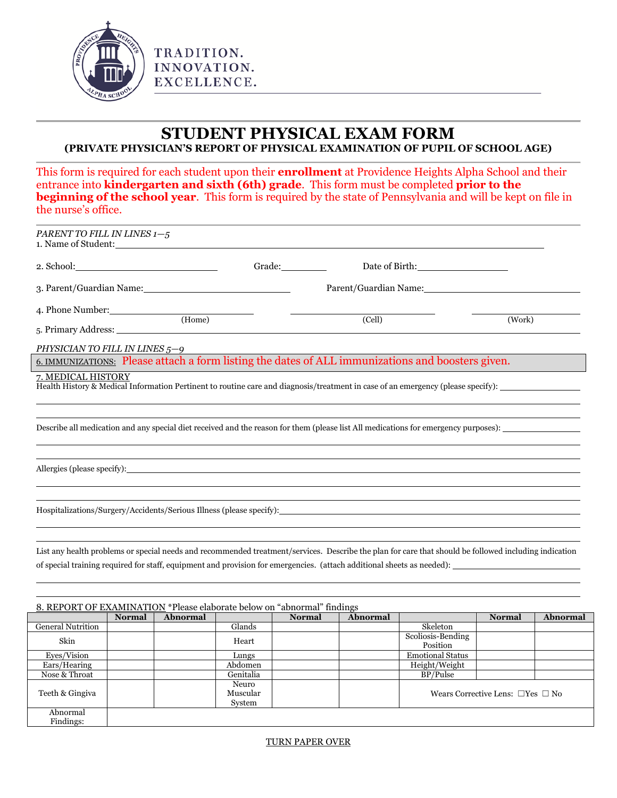

TRADITION. INNOVATION. EXCELLENCE.

## **STUDENT PHYSICAL EXAM FORM (PRIVATE PHYSICIAN'S REPORT OF PHYSICAL EXAMINATION OF PUPIL OF SCHOOL AGE)**

This form is required for each student upon their **enrollment** at Providence Heights Alpha School and their entrance into **kindergarten and sixth (6th) grade**. This form must be completed **prior to the beginning of the school year.** This form is required by the state of Pennsylvania and will be kept on file in the nurse's office.

|                                                                                                                                                                                                                                | PARENT TO FILL IN LINES 1-5<br>1. Name of Student: |                                                                                                                                                                                                                                                                                 |                            |                                                                                                                                                                                                                                |               |          |
|--------------------------------------------------------------------------------------------------------------------------------------------------------------------------------------------------------------------------------|----------------------------------------------------|---------------------------------------------------------------------------------------------------------------------------------------------------------------------------------------------------------------------------------------------------------------------------------|----------------------------|--------------------------------------------------------------------------------------------------------------------------------------------------------------------------------------------------------------------------------|---------------|----------|
| 2. School: 2. School: 2. School: 2. School: 2. School: 2. School: 2. School: 2. School: 2. School: 2. School: 2. School: 2. School: 2. School: 2. School: 2. School: 2. School: 2. School: 2. School: 2. School: 2. School: 2. |                                                    | Grade:                                                                                                                                                                                                                                                                          |                            | Date of Birth:                                                                                                                                                                                                                 |               |          |
|                                                                                                                                                                                                                                |                                                    | 3. Parent/Guardian Name:                                                                                                                                                                                                                                                        |                            | Parent/Guardian Name: 1997 and 2008 and 2009 and 2009 and 2009 and 2009 and 2009 and 2009 and 2009 and 2009 and 2009 and 2009 and 2009 and 2009 and 2009 and 2009 and 2009 and 2009 and 2009 and 2009 and 2009 and 2009 and 20 |               |          |
| 4. Phone Number:<br>5. Primary Address:                                                                                                                                                                                        |                                                    | <u> The Common State State State State State State State State State State State State State State State State State State State State State State State State State State State State State State State State State State State</u><br>(Home)                                  | $\overline{\text{(Cell)}}$ |                                                                                                                                                                                                                                | (Work)        |          |
| PHYSICIAN TO FILL IN LINES 5-9                                                                                                                                                                                                 |                                                    |                                                                                                                                                                                                                                                                                 |                            |                                                                                                                                                                                                                                |               |          |
|                                                                                                                                                                                                                                |                                                    | 6. IMMUNIZATIONS: Please attach a form listing the dates of ALL immunizations and boosters given.                                                                                                                                                                               |                            |                                                                                                                                                                                                                                |               |          |
| 7. MEDICAL HISTORY                                                                                                                                                                                                             |                                                    |                                                                                                                                                                                                                                                                                 |                            |                                                                                                                                                                                                                                |               |          |
|                                                                                                                                                                                                                                |                                                    | Describe all medication and any special diet received and the reason for them (please list All medications for emergency purposes):                                                                                                                                             |                            |                                                                                                                                                                                                                                |               |          |
|                                                                                                                                                                                                                                |                                                    |                                                                                                                                                                                                                                                                                 |                            |                                                                                                                                                                                                                                |               |          |
|                                                                                                                                                                                                                                |                                                    |                                                                                                                                                                                                                                                                                 |                            |                                                                                                                                                                                                                                |               |          |
|                                                                                                                                                                                                                                |                                                    | Hospitalizations/Surgery/Accidents/Serious Illness (please specify): North and the control of the control of the control of the control of the control of the control of the control of the control of the control of the cont                                                  |                            |                                                                                                                                                                                                                                |               |          |
|                                                                                                                                                                                                                                |                                                    |                                                                                                                                                                                                                                                                                 |                            |                                                                                                                                                                                                                                |               |          |
|                                                                                                                                                                                                                                |                                                    | List any health problems or special needs and recommended treatment/services. Describe the plan for care that should be followed including indication<br>of special training required for staff, equipment and provision for emergencies. (attach additional sheets as needed): |                            |                                                                                                                                                                                                                                |               |          |
|                                                                                                                                                                                                                                |                                                    |                                                                                                                                                                                                                                                                                 |                            |                                                                                                                                                                                                                                |               |          |
|                                                                                                                                                                                                                                | <b>Normal</b>                                      | 8. REPORT OF EXAMINATION *Please elaborate below on "abnormal" findings<br>Abnormal                                                                                                                                                                                             | <b>Normal</b><br>Abnormal  |                                                                                                                                                                                                                                | <b>Normal</b> | Abnormal |

| General Nutrition | Giands    | <b>Skeleton</b>         |                                             |  |
|-------------------|-----------|-------------------------|---------------------------------------------|--|
| Skin              | Heart     | Scoliosis-Bending       |                                             |  |
|                   |           | Position                |                                             |  |
| Eves/Vision       | Lungs     | <b>Emotional Status</b> |                                             |  |
| Ears/Hearing      | Abdomen   | Height/Weight           |                                             |  |
| Nose & Throat     | Genitalia | BP/Pulse                |                                             |  |
| Teeth & Gingiva   | Neuro     |                         | Wears Corrective Lens: $\Box$ Yes $\Box$ No |  |
|                   | Muscular  |                         |                                             |  |
|                   | System    |                         |                                             |  |
| Abnormal          |           |                         |                                             |  |
| Findings:         |           |                         |                                             |  |

## TURN PAPER OVER